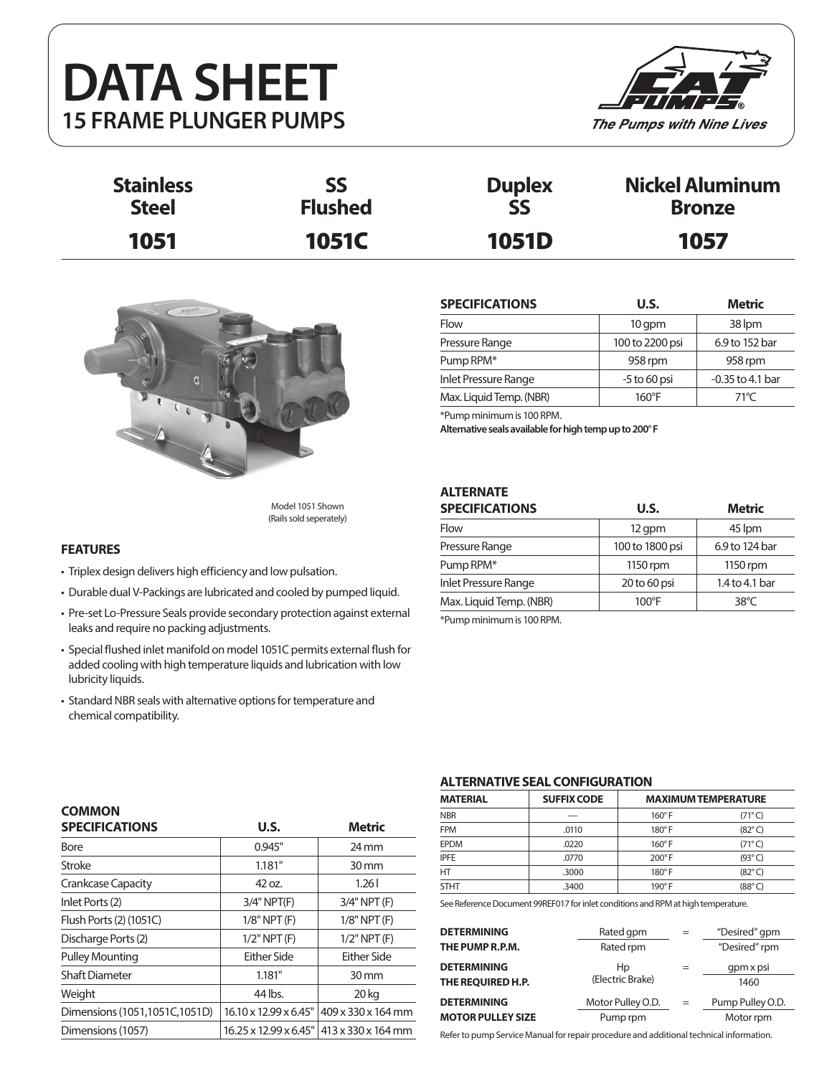# **DATA SHEET 15 FRAME PLUNGER PUMPS**



| <b>Stainless</b> | SS             | <b>Duplex</b> | <b>Nickel Aluminum</b> |
|------------------|----------------|---------------|------------------------|
| <b>Steel</b>     | <b>Flushed</b> | SS            | <b>Bronze</b>          |
| 1051             | <b>1051C</b>   | <b>1051D</b>  | 1057                   |



Model 1051 Shown (Rails sold seperately)

## **FEATURES**

- Triplex design delivers high efficiency and low pulsation.
- Durable dual V-Packings are lubricated and cooled by pumped liquid.
- Pre-set Lo-Pressure Seals provide secondary protection against external leaks and require no packing adjustments.
- Special flushed inlet manifold on model 1051C permits external flush for added cooling with high temperature liquids and lubrication with low lubricity liquids.
- Standard NBR seals with alternative options for temperature and chemical compatibility.

| <b>SPECIFICATIONS</b>   | U.S.            | <b>Metric</b>      |
|-------------------------|-----------------|--------------------|
| Flow                    | 10 qpm          | 38 lpm             |
| Pressure Range          | 100 to 2200 psi | 6.9 to 152 bar     |
| Pump RPM*               | 958 rpm         | 958 rpm            |
| Inlet Pressure Range    | $-5$ to 60 psi  | $-0.35$ to 4.1 bar |
| Max. Liquid Temp. (NBR) | $160^{\circ}$ F | $71^{\circ}$ C     |

\*Pump minimum is 100 RPM.

**Alternative seals available for high temp up to 200**° **F**

# **ALTERNATE**

| <b>SPECIFICATIONS</b>   | U.S.            | <b>Metric</b>  |  |
|-------------------------|-----------------|----------------|--|
| Flow                    | 12 gpm          | 45 lpm         |  |
| Pressure Range          | 100 to 1800 psi | 6.9 to 124 bar |  |
| Pump RPM*               | 1150 rpm        | 1150 rpm       |  |
| Inlet Pressure Range    | 20 to 60 psi    | 1.4 to 4.1 bar |  |
| Max. Liquid Temp. (NBR) | $100^{\circ}$ F | $38^{\circ}$ C |  |
|                         |                 |                |  |

\*Pump minimum is 100 RPM.

| <b>COMMON</b>                 |                       |                                            |
|-------------------------------|-----------------------|--------------------------------------------|
| <b>SPECIFICATIONS</b>         | U.S.                  | <b>Metric</b>                              |
| Bore                          | 0.945"                | $24 \,\mathrm{mm}$                         |
| Stroke                        | 1.181"                | 30 mm                                      |
| Crankcase Capacity            | 42 oz.                | 1.26                                       |
| Inlet Ports (2)               | $3/4"$ NPT $(F)$      | $3/4"$ NPT $(F)$                           |
| Flush Ports (2) (1051C)       | $1/8"$ NPT $(F)$      | $1/8"$ NPT $(F)$                           |
| Discharge Ports (2)           | $1/2$ " NPT $(F)$     | $1/2$ " NPT $(F)$                          |
| <b>Pulley Mounting</b>        | Fither Side           | Either Side                                |
| <b>Shaft Diameter</b>         | 1.181"                | $30 \,\mathrm{mm}$                         |
| Weight                        | 44 lbs.               | 20 kg                                      |
| Dimensions (1051,1051C,1051D) | 16.10 x 12.99 x 6.45" | 409 x 330 x 164 mm                         |
| Dimensions (1057)             |                       | 16.25 x 12.99 x 6.45"   413 x 330 x 164 mm |

### **ALTERNATIVE SEAL CONFIGURATION**

| <b>MATERIAL</b> | <b>SUFFIX CODE</b> | <b>MAXIMUM TEMPERATURE</b> |                 |  |  |
|-----------------|--------------------|----------------------------|-----------------|--|--|
| <b>NBR</b>      |                    | $160^\circ$ F              | $(71^{\circ}C)$ |  |  |
| <b>FPM</b>      | .0110              | $180^\circ$ F              | $(82^{\circ}C)$ |  |  |
| <b>EPDM</b>     | .0220              | $160^\circ$ F              | $(71^{\circ}C)$ |  |  |
| <b>IPFE</b>     | .0770              | $200^\circ$ F              | $(93^{\circ}C)$ |  |  |
| HT              | .3000              | $180^\circ$ F              | $(82^{\circ}C)$ |  |  |
| <b>STHT</b>     | .3400              | $190^\circ$ F              | $(88^{\circ}C)$ |  |  |

See Reference Document 99REF017 for inlet conditions and RPM at high temperature.

| <b>DETERMINING</b>       | Rated gpm         | $=$ | "Desired" gpm    |
|--------------------------|-------------------|-----|------------------|
| THE PUMP R.P.M.          | Rated rpm         |     | "Desired" rpm    |
| <b>DETERMINING</b>       | Hp                |     | gpm x psi        |
| THE REQUIRED H.P.        | (Electric Brake)  |     | 1460             |
| <b>DETERMINING</b>       | Motor Pulley O.D. | $=$ | Pump Pulley O.D. |
| <b>MOTOR PULLEY SIZE</b> | Pump rpm          |     | Motor rpm        |

Refer to pump Service Manual for repair procedure and additional technical information.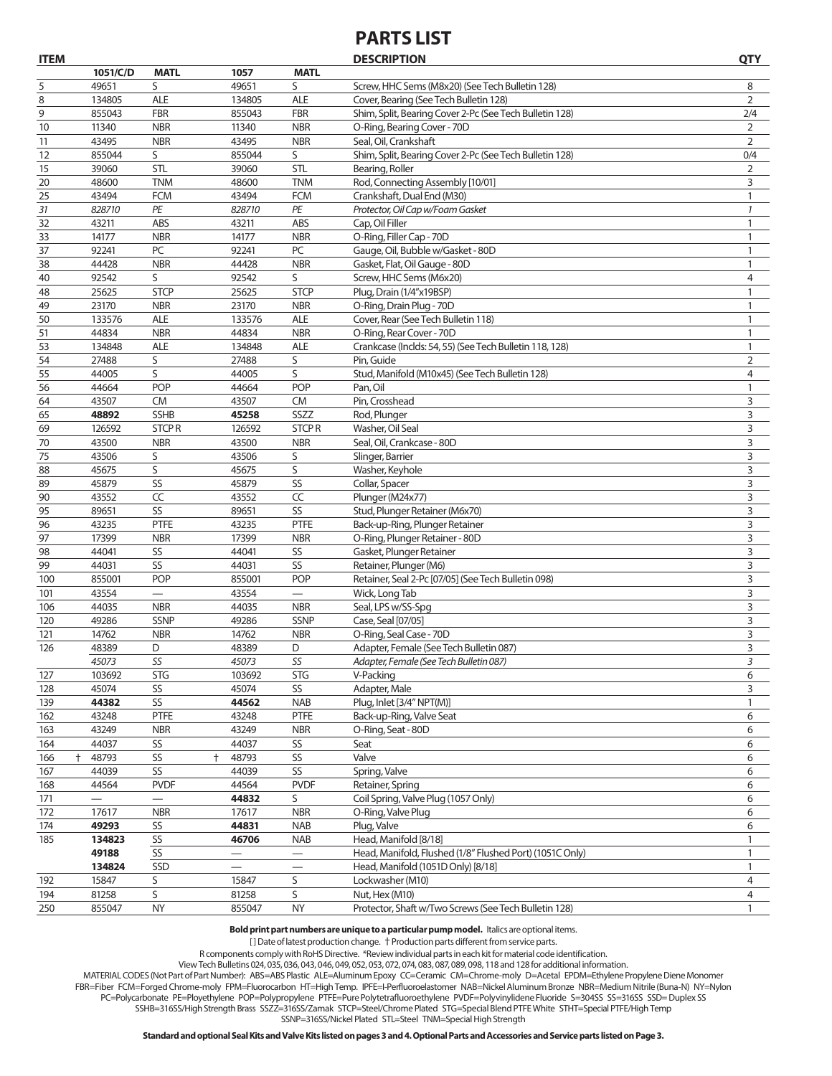# **PARTS LIST**

| <b>ITEM</b> |                          |                          |                          |                          | <b>DESCRIPTION</b>                                       | <b>QTY</b>     |
|-------------|--------------------------|--------------------------|--------------------------|--------------------------|----------------------------------------------------------|----------------|
|             | 1051/C/D                 | <b>MATL</b>              | 1057                     | <b>MATL</b>              |                                                          |                |
| 5           | 49651                    | S                        | 49651                    | S                        | Screw, HHC Sems (M8x20) (See Tech Bulletin 128)          | 8              |
| 8           | 134805                   | <b>ALE</b>               | 134805                   | <b>ALE</b>               | Cover, Bearing (See Tech Bulletin 128)                   | 2              |
| 9           | 855043                   | <b>FBR</b>               | 855043                   | <b>FBR</b>               | Shim, Split, Bearing Cover 2-Pc (See Tech Bulletin 128)  | 2/4            |
| 10          | 11340                    | <b>NBR</b>               | 11340                    | <b>NBR</b>               | O-Ring, Bearing Cover - 70D                              | $\overline{2}$ |
| 11          | 43495                    | <b>NBR</b>               | 43495                    | <b>NBR</b>               | Seal, Oil, Crankshaft                                    | 2              |
| 12          | 855044                   | S                        | 855044                   | S                        | Shim, Split, Bearing Cover 2-Pc (See Tech Bulletin 128)  | 0/4            |
| 15          | 39060                    | <b>STL</b>               | 39060                    | STL                      | Bearing, Roller                                          | $\overline{2}$ |
| 20          | 48600                    | <b>TNM</b>               | 48600                    | <b>TNM</b>               | Rod, Connecting Assembly [10/01]                         | 3              |
| 25          | 43494                    | <b>FCM</b>               | 43494                    | <b>FCM</b>               | Crankshaft, Dual End (M30)                               | 1              |
| 31          | 828710                   | PE                       | 828710                   | PE                       | Protector, Oil Cap w/Foam Gasket                         | $\mathcal{I}$  |
| 32          | 43211                    | ABS                      | 43211                    | ABS                      | Cap, Oil Filler                                          | 1              |
| 33          | 14177                    | <b>NBR</b>               | 14177                    | <b>NBR</b>               | O-Ring, Filler Cap - 70D                                 | $\mathbf{1}$   |
| 37          | 92241                    | PC                       | 92241                    | PC                       | Gauge, Oil, Bubble w/Gasket - 80D                        | $\mathbf{1}$   |
| 38          | 44428                    | <b>NBR</b>               | 44428                    | <b>NBR</b>               | Gasket, Flat, Oil Gauge - 80D                            | 1              |
| 40          | 92542                    | S                        | 92542                    | S                        | Screw, HHC Sems (M6x20)                                  | 4              |
| 48          | 25625                    | <b>STCP</b>              | 25625                    | <b>STCP</b>              | Plug, Drain (1/4"x19BSP)                                 | 1              |
| 49          | 23170                    | <b>NBR</b>               | 23170                    | <b>NBR</b>               | O-Ring, Drain Plug - 70D                                 | $\mathbf{1}$   |
| 50          | 133576                   | <b>ALE</b>               | 133576                   | <b>ALE</b>               | Cover, Rear (See Tech Bulletin 118)                      | 1              |
| 51          | 44834                    | <b>NBR</b>               | 44834                    | <b>NBR</b>               | O-Ring, Rear Cover - 70D                                 | $\mathbf{1}$   |
| 53          | 134848                   | <b>ALE</b>               | 134848                   | <b>ALE</b>               | Crankcase (Inclds: 54, 55) (See Tech Bulletin 118, 128)  | $\mathbf{1}$   |
| 54          | 27488                    | S                        | 27488                    | S                        | Pin, Guide                                               | 2              |
| 55          | 44005                    | S                        | 44005                    | S                        | Stud, Manifold (M10x45) (See Tech Bulletin 128)          | $\overline{4}$ |
| 56          | 44664                    | POP                      | 44664                    | <b>POP</b>               | Pan, Oil                                                 | 1              |
| 64          | 43507                    | CM                       | 43507                    | <b>CM</b>                | Pin, Crosshead                                           | 3              |
| 65          | 48892                    | <b>SSHB</b>              | 45258                    | SSZZ                     | Rod, Plunger                                             | 3              |
| 69          | 126592                   | <b>STCPR</b>             | 126592                   | <b>STCPR</b>             | Washer, Oil Seal                                         | 3              |
| 70          | 43500                    | <b>NBR</b>               | 43500                    | <b>NBR</b>               | Seal, Oil, Crankcase - 80D                               | 3              |
| 75          | 43506                    | S                        | 43506                    | S                        | Slinger, Barrier                                         | 3              |
| 88          | 45675                    | S                        | 45675                    | S                        | Washer, Keyhole                                          | 3              |
| 89          | 45879                    | SS                       | 45879                    | SS                       | Collar, Spacer                                           | 3              |
| 90          | 43552                    | CC                       | 43552                    | CC                       | Plunger (M24x77)                                         | 3              |
| 95          | 89651                    | SS                       | 89651                    | SS                       | Stud, Plunger Retainer (M6x70)                           | 3              |
| 96          | 43235                    | PTFE                     | 43235                    | PTFE                     | Back-up-Ring, Plunger Retainer                           | 3              |
| 97          | 17399                    | <b>NBR</b>               | 17399                    | <b>NBR</b>               | O-Ring, Plunger Retainer - 80D                           | 3              |
| 98          | 44041                    | SS                       | 44041                    | SS                       | Gasket, Plunger Retainer                                 | 3              |
| 99          | 44031                    | SS                       | 44031                    | SS                       | Retainer, Plunger (M6)                                   | 3              |
| 100         | 855001                   | POP                      | 855001                   | POP                      | Retainer, Seal 2-Pc [07/05] (See Tech Bulletin 098)      | 3              |
| 101         | 43554                    | $\overline{\phantom{0}}$ | 43554                    | $\qquad \qquad$          | Wick, Long Tab                                           | 3              |
| 106         | 44035                    | <b>NBR</b>               | 44035                    | <b>NBR</b>               | Seal, LPS w/SS-Spg                                       | 3              |
| 120         | 49286                    | <b>SSNP</b>              | 49286                    | SSNP                     | Case, Seal [07/05]                                       | 3              |
| 121         | 14762                    | <b>NBR</b>               | 14762                    | <b>NBR</b>               | O-Ring, Seal Case - 70D                                  | 3              |
|             |                          |                          |                          | D                        |                                                          | 3              |
| 126         | 48389                    | D<br>SS                  | 48389                    |                          | Adapter, Female (See Tech Bulletin 087)                  |                |
|             | 45073                    |                          | 45073                    | SS<br><b>STG</b>         | Adapter, Female (See Tech Bulletin 087)<br>V-Packing     | 3              |
| 127         | 103692                   | <b>STG</b>               | 103692                   |                          | Adapter, Male                                            | 6              |
| 128         | 45074<br>44382           | SS<br>SS                 | 45074<br>44562           | SS                       | Plug, Inlet [3/4" NPT(M)]                                | 3              |
| 139         |                          |                          |                          | <b>NAB</b>               |                                                          | $\mathbf{1}$   |
| 162         | 43248                    | PTFE                     | 43248                    | PTFE                     | Back-up-Ring, Valve Seat                                 | 6              |
| 163         | 43249                    | <b>NBR</b>               | 43249                    | <b>NBR</b>               | O-Ring, Seat - 80D                                       | 6              |
| 164         | 44037                    | SS                       | 44037                    | $\mathsf{SS}\xspace$     | Seat                                                     | 6              |
| 166         | 48793<br>$\ddagger$      | SS                       | 48793<br>$\ddagger$      | SS                       | Valve                                                    | 6              |
| 167         | 44039                    | SS                       | 44039                    | SS                       | Spring, Valve                                            | 6              |
| 168         | 44564                    | <b>PVDF</b>              | 44564                    | <b>PVDF</b>              | Retainer, Spring                                         | 6              |
| 171         | $\overline{\phantom{0}}$ |                          | 44832                    | S                        | Coil Spring, Valve Plug (1057 Only)                      | 6              |
| 172         | 17617                    | <b>NBR</b>               | 17617                    | <b>NBR</b>               | O-Ring, Valve Plug                                       | 6              |
| 174         | 49293                    | SS                       | 44831                    | <b>NAB</b>               | Plug, Valve                                              | 6              |
| 185         | 134823                   | SS                       | 46706                    | <b>NAB</b>               | Head, Manifold [8/18]                                    | 1              |
|             | 49188                    | SS                       | $\overline{\phantom{0}}$ |                          | Head, Manifold, Flushed (1/8" Flushed Port) (1051C Only) | $\mathbf{1}$   |
|             | 134824                   | SSD                      | —                        | $\overline{\phantom{0}}$ | Head, Manifold (1051D Only) [8/18]                       | $\mathbf{1}$   |
| 192         | 15847                    | S                        | 15847                    | S                        | Lockwasher (M10)                                         | 4              |
| 194         | 81258                    | S                        | 81258                    | S                        | Nut, Hex (M10)                                           | 4              |
| 250         | 855047                   | <b>NY</b>                | 855047                   | <b>NY</b>                | Protector, Shaft w/Two Screws (See Tech Bulletin 128)    | $\mathbf{1}$   |

**Bold print part numbers are unique to a particular pump model.** Italics are optional items.

[] Date of latest production change. † Production parts different from service parts.

R components comply with RoHS Directive. \*Review individual parts in each kit for material code identification.

View Tech Bulletins 024, 035, 036, 043, 046, 049, 052, 053, 072, 074, 083, 087, 089, 098, 118 and 128 for additional information.

MATERIAL CODES (Not Part of Part Number): ABS=ABS Plastic ALE=Aluminum Epoxy CC=Ceramic CM=Chrome-moly D=Acetal EPDM=Ethylene Propylene Diene Monomer FBR=Fiber FCM=Forged Chrome-moly FPM=Fluorocarbon HT=High Temp. IPFE=I-Perfluoroelastomer NAB=Nickel Aluminum Bronze NBR=Medium Nitrile (Buna-N) NY=Nylon PC=Polycarbonate PE=Ployethylene POP=Polypropylene PTFE=Pure Polytetrafluoroethylene PVDF=Polyvinylidene Fluoride S=304SS SS=316SS SSD= Duplex SS SSHB=316SS/High Strength Brass SSZZ=316SS/Zamak STCP=Steel/Chrome Plated STG=Special Blend PTFE White STHT=Special PTFE/High Temp SSNP=316SS/Nickel Plated STL=Steel TNM=Special High Strength

**Standard and optional Seal Kits and Valve Kits listed on pages 3 and 4. Optional Parts and Accessories and Service parts listed on Page 3.**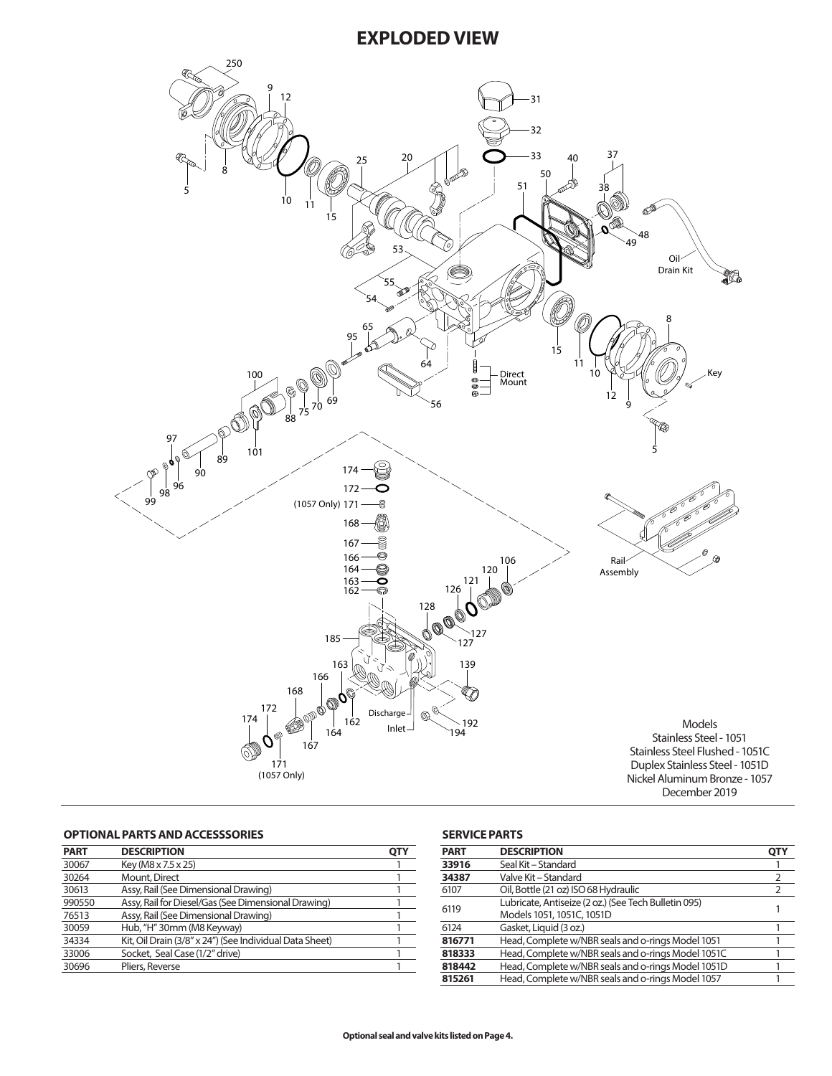

## **OPTIONAL PARTS AND ACCESSSORIES**

| <b>PART</b> | <b>DESCRIPTION</b>                                      | OT۱ |
|-------------|---------------------------------------------------------|-----|
| 30067       | Key (M8 x 7.5 x 25)                                     |     |
| 30264       | Mount, Direct                                           |     |
| 30613       | Assy, Rail (See Dimensional Drawing)                    |     |
| 990550      | Assy, Rail for Diesel/Gas (See Dimensional Drawing)     |     |
| 76513       | Assy, Rail (See Dimensional Drawing)                    |     |
| 30059       | Hub, "H" 30mm (M8 Keyway)                               |     |
| 34334       | Kit, Oil Drain (3/8" x 24") (See Individual Data Sheet) |     |
| 33006       | Socket, Seal Case (1/2" drive)                          |     |
| 30696       | Pliers, Reverse                                         |     |
|             |                                                         |     |

## **SERVICE PARTS**

| <b>PART</b> | <b>DESCRIPTION</b>                                   | OTY |
|-------------|------------------------------------------------------|-----|
| 33916       | Seal Kit – Standard                                  |     |
| 34387       | Valve Kit – Standard                                 | 2   |
| 6107        | Oil, Bottle (21 oz) ISO 68 Hydraulic                 |     |
| 6119        | Lubricate, Antiseize (2 oz.) (See Tech Bulletin 095) |     |
|             | Models 1051, 1051C, 1051D                            |     |
| 6124        | Gasket, Liquid (3 oz.)                               |     |
| 816771      | Head, Complete w/NBR seals and o-rings Model 1051    |     |
| 818333      | Head, Complete w/NBR seals and o-rings Model 1051C   |     |
| 818442      | Head, Complete w/NBR seals and o-rings Model 1051D   |     |
| 815261      | Head, Complete w/NBR seals and o-rings Model 1057    |     |